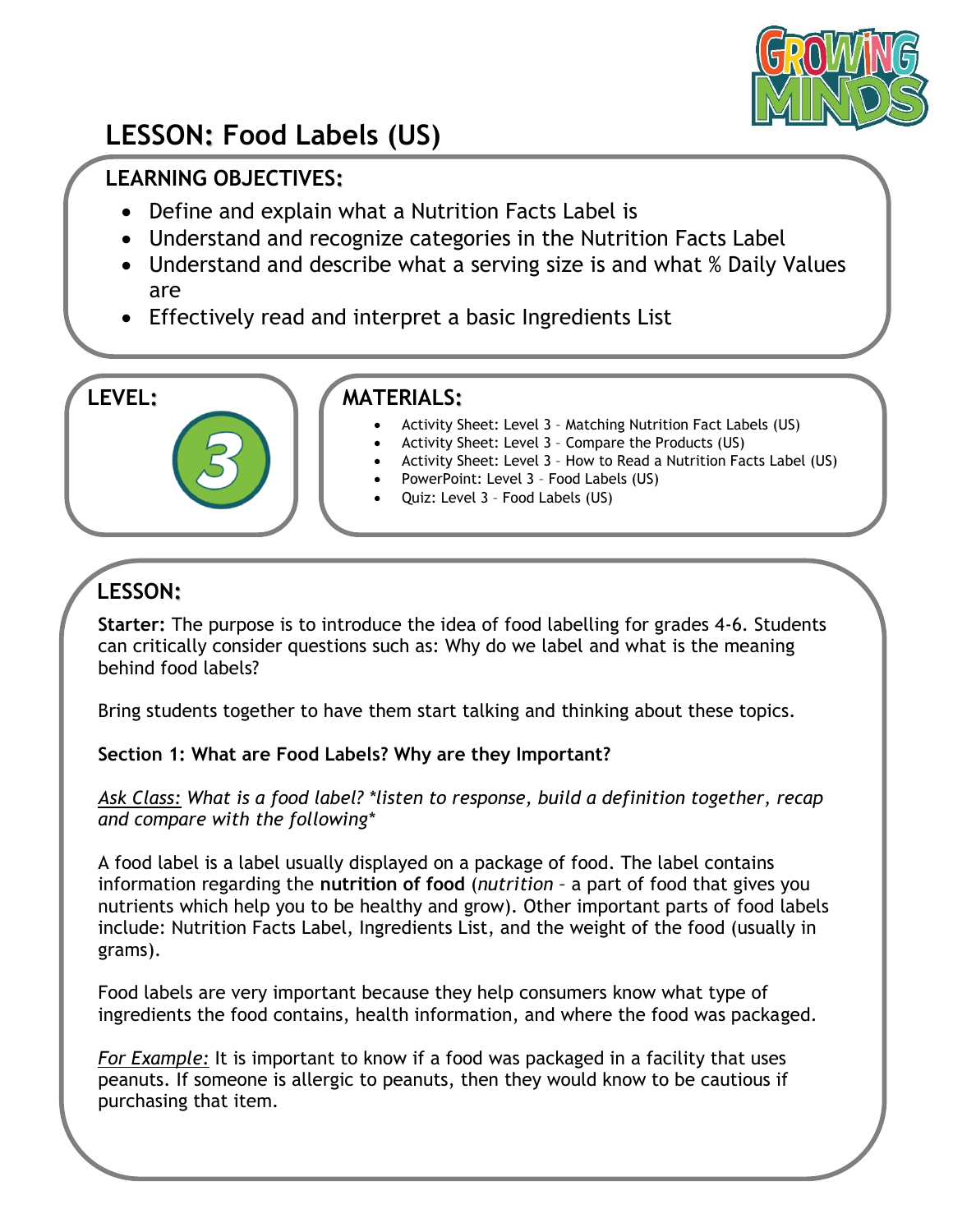

# **LESSON: Food Labels (US)**

## **LEARNING OBJECTIVES:**

- Define and explain what a Nutrition Facts Label is
- Understand and recognize categories in the Nutrition Facts Label
- Understand and describe what a serving size is and what % Daily Values are
- Effectively read and interpret a basic Ingredients List

### **LEVEL: MATERIALS:**

- Activity Sheet: Level 3 Matching Nutrition Fact Labels (US)
- Activity Sheet: Level 3 Compare the Products (US)
- Activity Sheet: Level 3 How to Read a Nutrition Facts Label (US)
- PowerPoint: Level 3 Food Labels (US)
- Quiz: Level 3 Food Labels (US)

# **LESSON:**

**Starter:** The purpose is to introduce the idea of food labelling for grades 4-6. Students can critically consider questions such as: Why do we label and what is the meaning behind food labels?

Bring students together to have them start talking and thinking about these topics.

#### **Section 1: What are Food Labels? Why are they Important?**

*Ask Class: What is a food label? \*listen to response, build a definition together, recap and compare with the following\**

A food label is a label usually displayed on a package of food. The label contains information regarding the **nutrition of food** (*nutrition –* a part of food that gives you nutrients which help you to be healthy and grow). Other important parts of food labels include: Nutrition Facts Label, Ingredients List, and the weight of the food (usually in grams).

Food labels are very important because they help consumers know what type of ingredients the food contains, health information, and where the food was packaged.

*For Example:* It is important to know if a food was packaged in a facility that uses peanuts. If someone is allergic to peanuts, then they would know to be cautious if purchasing that item.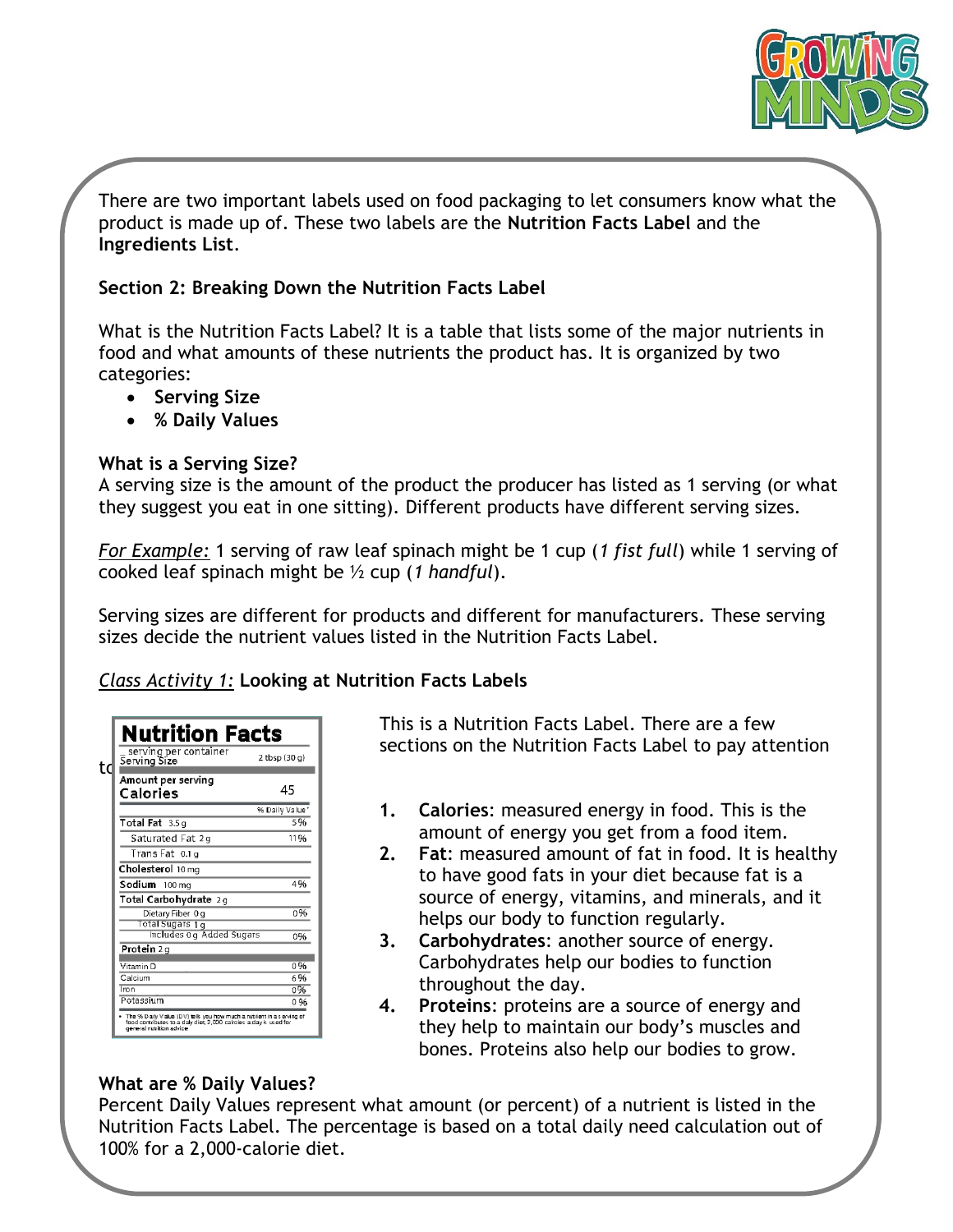

There are two important labels used on food packaging to let consumers know what the product is made up of. These two labels are the **Nutrition Facts Label** and the **Ingredients List**.

#### **Section 2: Breaking Down the Nutrition Facts Label**

What is the Nutrition Facts Label? It is a table that lists some of the major nutrients in food and what amounts of these nutrients the product has. It is organized by two categories:

- **Serving Size**
- **% Daily Values**

#### **What is a Serving Size?**

A serving size is the amount of the product the producer has listed as 1 serving (or what they suggest you eat in one sitting). Different products have different serving sizes.

*For Example:* 1 serving of raw leaf spinach might be 1 cup (*1 fist full*) while 1 serving of cooked leaf spinach might be ½ cup (*1 handful*).

Serving sizes are different for products and different for manufacturers. These serving sizes decide the nutrient values listed in the Nutrition Facts Label.

#### *Class Activity 1:* **Looking at Nutrition Facts Labels**

| Nutrition Facts                         |                  |
|-----------------------------------------|------------------|
| _ serving per container<br>Serving Size | $2$ tbsp $(30q)$ |
| Amount per serving<br>Calories          | 45               |
|                                         | % Daily Value*   |
| Total Fat 3.5 g                         | 5%               |
| Saturated Fat 2g                        | 11%              |
| Trans Fat 0.1 g                         |                  |
| Cholesterol 10 mg                       |                  |
| Sodium 100 mg                           | 4%               |
| Total Carbohydrate 2g                   |                  |
| Dietary Fiber 0 g                       | 0%               |
| Total Sugars 1 g                        |                  |
| Includes Og Added Sugars                | 0%               |
| Protein 2g                              |                  |
| Vitamin D                               | 0%               |
| Calcium                                 | 6%               |
| Tron                                    | 0%               |
| Potassium                               | 0%               |

 This is a Nutrition Facts Label. There are a few sections on the Nutrition Facts Label to pay attention

- **1. Calories**: measured energy in food. This is the amount of energy you get from a food item.
- **2. Fat**: measured amount of fat in food. It is healthy to have good fats in your diet because fat is a source of energy, vitamins, and minerals, and it helps our body to function regularly.
- **3. Carbohydrates**: another source of energy. Carbohydrates help our bodies to function throughout the day.
- **4. Proteins**: proteins are a source of energy and they help to maintain our body's muscles and bones. Proteins also help our bodies to grow.

#### **What are % Daily Values?**

Percent Daily Values represent what amount (or percent) of a nutrient is listed in the Nutrition Facts Label. The percentage is based on a total daily need calculation out of 100% for a 2,000-calorie diet.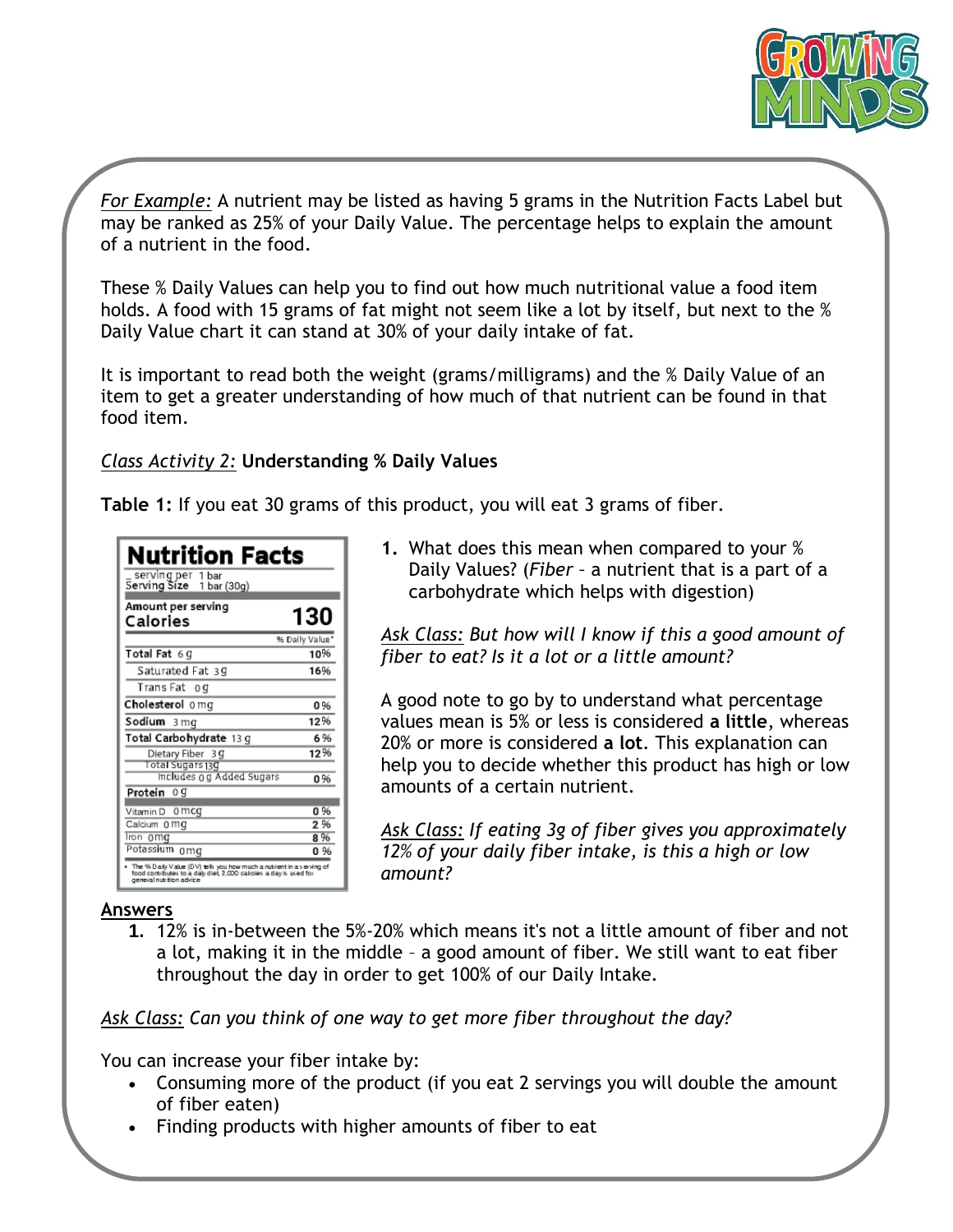

*For Example:* A nutrient may be listed as having 5 grams in the Nutrition Facts Label but may be ranked as 25% of your Daily Value. The percentage helps to explain the amount of a nutrient in the food.

These % Daily Values can help you to find out how much nutritional value a food item holds. A food with 15 grams of fat might not seem like a lot by itself, but next to the % Daily Value chart it can stand at 30% of your daily intake of fat.

It is important to read both the weight (grams/milligrams) and the % Daily Value of an item to get a greater understanding of how much of that nutrient can be found in that food item.

*Class Activity 2:* **Understanding % Daily Values**

**Table 1:** If you eat 30 grams of this product, you will eat 3 grams of fiber.

| Nutrition Facts<br>_ serving per  1 bar<br>Serving Size   1 bar (30g)                                                                                                |                       |
|----------------------------------------------------------------------------------------------------------------------------------------------------------------------|-----------------------|
| Amount per serving<br>Calories                                                                                                                                       | 130                   |
| Total Fat 6 G                                                                                                                                                        | % Daily Value*<br>10% |
| Saturated Fat 39                                                                                                                                                     | 16%                   |
| Trans Fat og                                                                                                                                                         |                       |
| Cholesterol 0 mg                                                                                                                                                     | 0%                    |
| Sodium 3mg                                                                                                                                                           | 12%                   |
| Total Carbohydrate 13 g                                                                                                                                              | 6%                    |
| Dietary Fiber 3 g<br>Total Sugars 130                                                                                                                                | 12%                   |
| Includes og Added Sugars<br>Protein 0 g                                                                                                                              | 0%                    |
| Vitamin D<br>0 mcg                                                                                                                                                   | 0%                    |
| Calcium 0 mg                                                                                                                                                         | 2%                    |
| lron omg<br>Potassium omg                                                                                                                                            | 8%<br>0%              |
| The % Daily Value (DV) tells you how much a nutrient in a serving of<br>food contributes to a daly diet, 2,000 calcies a day is used for<br>general nutrition advice |                       |

**1.** What does this mean when compared to your % Daily Values? (*Fiber –* a nutrient that is a part of a carbohydrate which helps with digestion)

*Ask Class: But how will I know if this a good amount of fiber to eat? Is it a lot or a little amount?*

A good note to go by to understand what percentage values mean is 5% or less is considered **a little**, whereas 20% or more is considered **a lot**. This explanation can help you to decide whether this product has high or low amounts of a certain nutrient.

*Ask Class: If eating 3g of fiber gives you approximately 12% of your daily fiber intake, is this a high or low amount?* 

#### **Answers**

**1.** 12% is in-between the 5%-20% which means it's not a little amount of fiber and not a lot, making it in the middle – a good amount of fiber. We still want to eat fiber throughout the day in order to get 100% of our Daily Intake.

*Ask Class: Can you think of one way to get more fiber throughout the day?*

You can increase your fiber intake by:

- Consuming more of the product (if you eat 2 servings you will double the amount of fiber eaten)
- Finding products with higher amounts of fiber to eat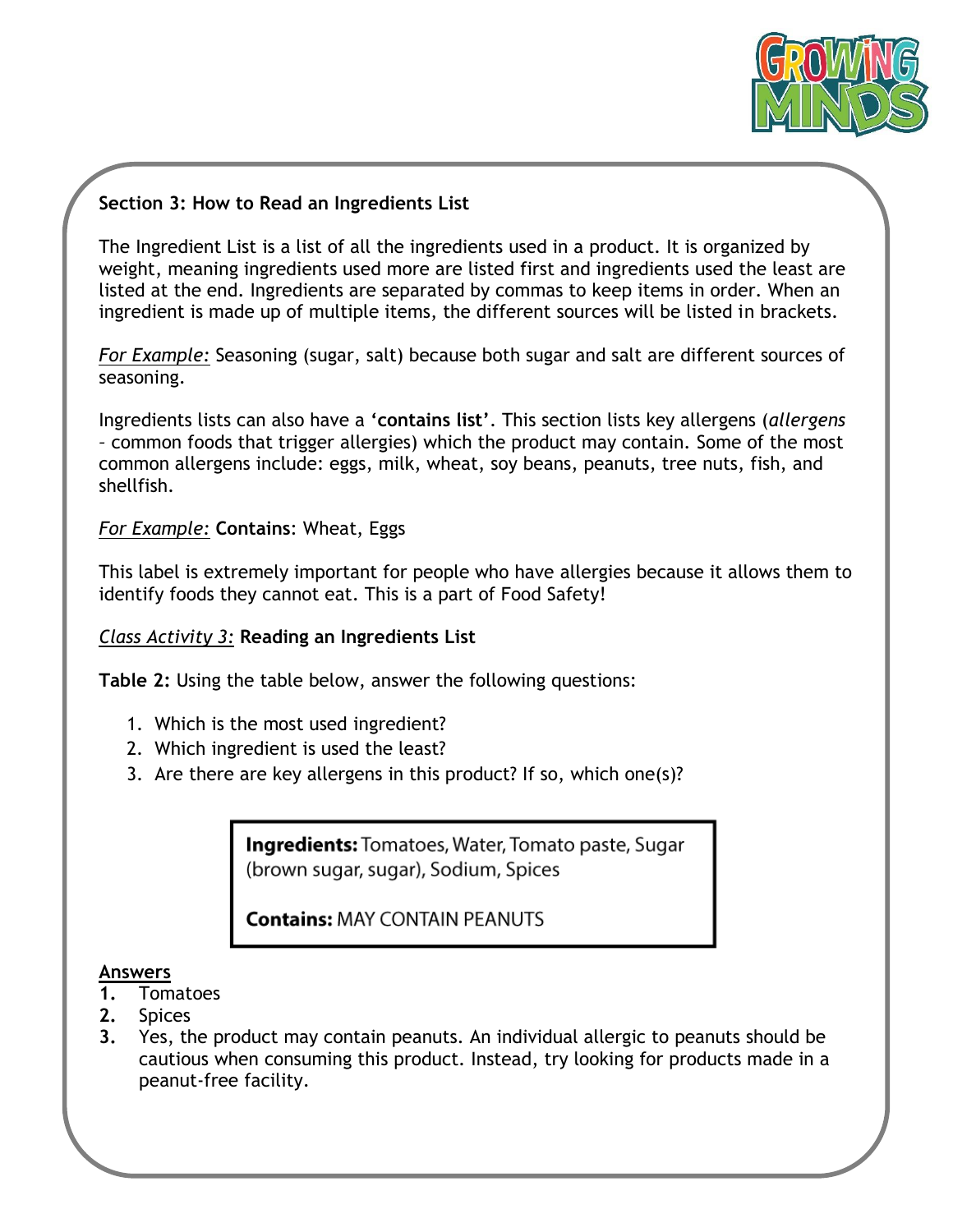

#### **Section 3: How to Read an Ingredients List**

The Ingredient List is a list of all the ingredients used in a product. It is organized by weight, meaning ingredients used more are listed first and ingredients used the least are listed at the end. Ingredients are separated by commas to keep items in order. When an ingredient is made up of multiple items, the different sources will be listed in brackets.

*For Example:* Seasoning (sugar, salt) because both sugar and salt are different sources of seasoning.

Ingredients lists can also have a **'contains list'**. This section lists key allergens (*allergens –* common foods that trigger allergies) which the product may contain. Some of the most common allergens include: eggs, milk, wheat, soy beans, peanuts, tree nuts, fish, and shellfish.

#### *For Example:* **Contains**: Wheat, Eggs

This label is extremely important for people who have allergies because it allows them to identify foods they cannot eat. This is a part of Food Safety!

#### *Class Activity 3:* **Reading an Ingredients List**

**Table 2:** Using the table below, answer the following questions:

- 1. Which is the most used ingredient?
- 2. Which ingredient is used the least?
- 3. Are there are key allergens in this product? If so, which one(s)?

**Ingredients:** Tomatoes, Water, Tomato paste, Sugar (brown sugar, sugar), Sodium, Spices

**Contains: MAY CONTAIN PEANUTS** 

#### **Answers**

- **1.** Tomatoes
- **2.** Spices
- **3.** Yes, the product may contain peanuts. An individual allergic to peanuts should be cautious when consuming this product. Instead, try looking for products made in a peanut-free facility.